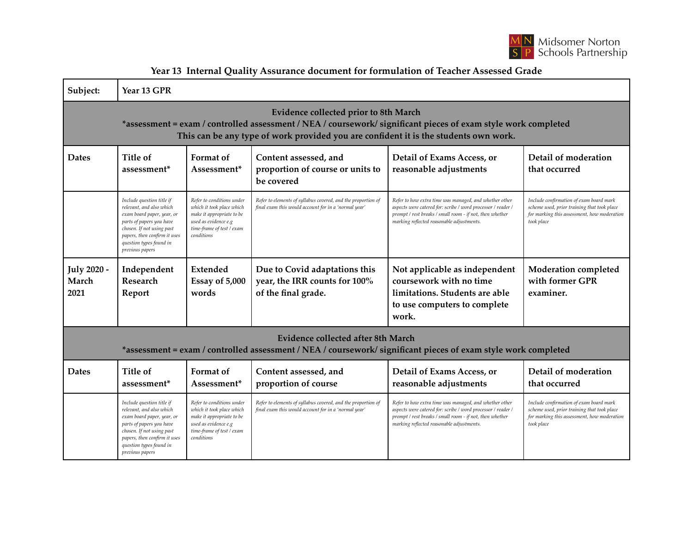

| Subject:                                                                                                                                                                                                                                        | Year 13 GPR                                                                                                                                                                                                                |                                                                                                                                                        |                                                                                                                      |                                                                                                                                                                                                                                 |                                                                                                                                                     |  |  |  |  |
|-------------------------------------------------------------------------------------------------------------------------------------------------------------------------------------------------------------------------------------------------|----------------------------------------------------------------------------------------------------------------------------------------------------------------------------------------------------------------------------|--------------------------------------------------------------------------------------------------------------------------------------------------------|----------------------------------------------------------------------------------------------------------------------|---------------------------------------------------------------------------------------------------------------------------------------------------------------------------------------------------------------------------------|-----------------------------------------------------------------------------------------------------------------------------------------------------|--|--|--|--|
| Evidence collected prior to 8th March<br>*assessment = exam / controlled assessment / NEA / coursework/ significant pieces of exam style work completed<br>This can be any type of work provided you are confident it is the students own work. |                                                                                                                                                                                                                            |                                                                                                                                                        |                                                                                                                      |                                                                                                                                                                                                                                 |                                                                                                                                                     |  |  |  |  |
| <b>Dates</b>                                                                                                                                                                                                                                    | Title of<br>assessment <sup>*</sup>                                                                                                                                                                                        | Format of<br>Assessment*                                                                                                                               | Content assessed, and<br>proportion of course or units to<br>be covered                                              | Detail of Exams Access, or<br>reasonable adjustments                                                                                                                                                                            | Detail of moderation<br>that occurred                                                                                                               |  |  |  |  |
|                                                                                                                                                                                                                                                 | Include question title if<br>relevant, and also which<br>exam board paper, year, or<br>parts of papers you have<br>chosen. If not using past<br>papers, then confirm it uses<br>question types found in<br>previous papers | Refer to conditions under<br>which it took place which<br>make it appropriate to be<br>used as evidence e.g<br>time-frame of test / exam<br>conditions | Refer to elements of syllabus covered, and the proportion of<br>final exam this would account for in a 'normal year' | Refer to how extra time was managed, and whether other<br>aspects were catered for: scribe / word processor / reader /<br>prompt / rest breaks / small room - if not, then whether<br>marking reflected reasonable adjustments. | Include confirmation of exam board mark<br>scheme used, prior training that took place<br>for marking this assessment, how moderation<br>took place |  |  |  |  |
| <b>July 2020 -</b><br>March<br>2021                                                                                                                                                                                                             | Independent<br>Research<br>Report                                                                                                                                                                                          | Extended<br>Essay of 5,000<br>words                                                                                                                    | Due to Covid adaptations this<br>year, the IRR counts for 100%<br>of the final grade.                                | Not applicable as independent<br>coursework with no time<br>limitations. Students are able<br>to use computers to complete<br>work.                                                                                             | <b>Moderation</b> completed<br>with former GPR<br>examiner.                                                                                         |  |  |  |  |
| Evidence collected after 8th March<br>*assessment = exam / controlled assessment / NEA / coursework/ significant pieces of exam style work completed                                                                                            |                                                                                                                                                                                                                            |                                                                                                                                                        |                                                                                                                      |                                                                                                                                                                                                                                 |                                                                                                                                                     |  |  |  |  |
| <b>Dates</b>                                                                                                                                                                                                                                    | Title of<br>assessment*                                                                                                                                                                                                    | Format of<br>Assessment*                                                                                                                               | Content assessed, and<br>proportion of course                                                                        | Detail of Exams Access, or<br>reasonable adjustments                                                                                                                                                                            | Detail of moderation<br>that occurred                                                                                                               |  |  |  |  |
|                                                                                                                                                                                                                                                 | Include question title if<br>relevant, and also which<br>exam board paper, year, or<br>parts of papers you have<br>chosen. If not using past<br>papers, then confirm it uses<br>question types found in<br>previous papers | Refer to conditions under<br>which it took place which<br>make it appropriate to be<br>used as evidence e.g<br>time-frame of test / exam<br>conditions | Refer to elements of syllabus covered, and the proportion of<br>final exam this would account for in a 'normal year' | Refer to how extra time was managed, and whether other<br>aspects were catered for: scribe / word processor / reader /<br>prompt / rest breaks / small room - if not, then whether<br>marking reflected reasonable adjustments. | Include confirmation of exam board mark<br>scheme used, prior training that took place<br>for marking this assessment, how moderation<br>took place |  |  |  |  |

**Year 13 Internal Quality Assurance document for formulation of Teacher Assessed Grade**